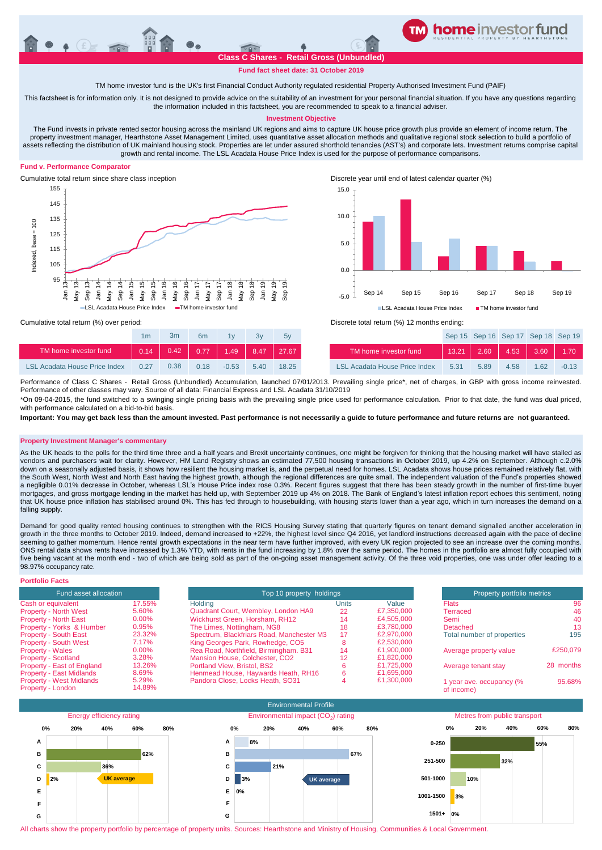

**Fund fact sheet date: 31 October 2019**

TM home investor fund is the UK's first Financial Conduct Authority regulated residential Property Authorised Investment Fund (PAIF)

This factsheet is for information only. It is not designed to provide advice on the suitability of an investment for your personal financial situation. If you have any questions regarding the information included in this factsheet, you are recommended to speak to a financial adviser.

## **Investment Objective**

The Fund invests in private rented sector housing across the mainland UK regions and aims to capture UK house price growth plus provide an element of income return. The property investment manager, Hearthstone Asset Management Limited, uses quantitative asset allocation methods and qualitative regional stock selection to build a portfolio of assets reflecting the distribution of UK mainland housing stock. Properties are let under assured shorthold tenancies (AST's) and corporate lets. Investment returns comprise capital growth and rental income. The LSL Acadata House Price Index is used for the purpose of performance comparisons.

# **Fund v. Performance Comparator**







Cumulative total return (%) over period: Discrete total return (%) 12 months ending:

|                               | 1 <sub>m</sub> | 3m   | 6 <sub>m</sub> | 1v      |      | 5v    |                               |       | Sep 15 Sep 16 Sep 17 Sep 18 Sep 1 |         |      |         |
|-------------------------------|----------------|------|----------------|---------|------|-------|-------------------------------|-------|-----------------------------------|---------|------|---------|
| TM home investor fund         | 0.14           | 0.42 | 0.77           | 1.49    | 8.47 | 27.67 | TM home investor fund         | 13.21 | 2.60                              | $-4.53$ | 3.60 | 1.70    |
| LSL Acadata House Price Index | 0.27           | 0.38 | 0.18           | $-0.53$ | 5.40 | 18.25 | LSL Acadata House Price Index | 5.31  | 5.89                              | 4.58    | 1.62 | $-0.13$ |

\*On 09-04-2015, the fund switched to a swinging single pricing basis with the prevailing single price used for performance calculation. Prior to that date, the fund was dual priced, Performance of Class C Shares - Retail Gross (Unbundled) Accumulation, launched 07/01/2013. Prevailing single price\*, net of charges, in GBP with gross income reinvested. Performance of other classes may vary. Source of all data: Financial Express and LSL Acadata 31/10/2019

with performance calculated on a bid-to-bid basis

**Important: You may get back less than the amount invested. Past performance is not necessarily a guide to future performance and future returns are not guaranteed.** 

## **Property Investment Manager's commentary**

As the UK heads to the polls for the third time three and a half years and Brexit uncertainty continues, one might be forgiven for thinking that the housing market will have stalled as vendors and purchasers wait for clarity. However, HM Land Registry shows an estimated 77,500 housing transactions in October 2019, up 4.2% on September. Although c.2.0% down on a seasonally adjusted basis, it shows how resilient the housing market is, and the perpetual need for homes. LSL Acadata shows house prices remained relatively flat, with the South West, North West and North East having the highest growth, although the regional differences are quite small. The independent valuation of the Fund's properties showed a negligible 0.01% decrease in October, whereas LSL's House Price index rose 0.3%. Recent figures suggest that there has been steady growth in the number of first-time buyer mortgages, and gross mortgage lending in the market has held up, with September 2019 up 4% on 2018. The Bank of England's latest inflation report echoes this sentiment, noting that UK house price inflation has stabilised around 0%. This has fed through to housebuilding, with housing starts lower than a year ago, which in turn increases the demand on a falling supply.

Demand for good quality rented housing continues to strengthen with the RICS Housing Survey stating that quarterly figures on tenant demand signalled another acceleration in growth in the three months to October 2019. Indeed, demand increased to +22%, the highest level since Q4 2016, yet landlord instructions decreased again with the pace of decline seeming to gather momentum. Hence rental growth expectations in the near term have further improved, with every UK region projected to see an increase over the coming months. ONS rental data shows rents have increased by 1.3% YTD, with rents in the fund increasing by 1.8% over the same period. The homes in the portfolio are almost fully occupied with five being vacant at the month end - two of which are being sold as part of the on-going asset management activity. Of the three void properties, one was under offer leading to a 98.97% occupancy rate.

| <b>Portfolio Facts</b>                               |                 |                                           |                          |            |                                        |           |
|------------------------------------------------------|-----------------|-------------------------------------------|--------------------------|------------|----------------------------------------|-----------|
| Fund asset allocation                                |                 |                                           | Top 10 property holdings |            |                                        |           |
| Cash or equivalent                                   | 17.55%          | Holdina                                   | Units                    | Value      | <b>Flats</b>                           | 96        |
| <b>Property - North West</b>                         | 5.60%           | Quadrant Court, Wembley, London HA9       | 22                       | £7,350,000 | Terraced                               | 46        |
| <b>Property - North East</b>                         | $0.00\%$        | Wickhurst Green, Horsham, RH12            | 14                       | £4.505.000 | Semi                                   | 40        |
| Property - Yorks & Humber                            | 0.95%           | The Limes, Nottingham, NG8                | 18                       | £3.780.000 | Detached                               | 13        |
| Property - South East                                | 23.32%          | Spectrum, Blackfriars Road, Manchester M3 | 17                       | £2,970,000 | Total number of properties             | 195       |
| <b>Property - South West</b>                         | 7.17%           | King Georges Park, Rowhedge, CO5          |                          | £2,530,000 |                                        |           |
| <b>Property - Wales</b>                              | $0.00\%$        | Rea Road, Northfield, Birmingham. B31     | 14                       | £1.900.000 | Average property value                 | £250.079  |
| <b>Property - Scotland</b>                           | 3.28%           | Mansion House, Colchester, CO2            | 12                       | £1,820,000 |                                        |           |
| Property - East of England                           | 13.26%          | Portland View, Bristol, BS2               |                          | £1.725.000 | Average tenant stay                    | 28 months |
| <b>Property - East Midlands</b>                      | 8.69%           | Henmead House, Haywards Heath, RH16       |                          | £1.695.000 |                                        |           |
| <b>Property - West Midlands</b><br>Property - London | 5.29%<br>14.89% | Pandora Close, Locks Heath, SO31          |                          | £1,300,000 | 1 year ave. occupancy (%<br>of income) | 95.68%    |



All charts show the property portfolio by percentage of property units. Sources: Hearthstone and Ministry of Housing, Communities & Local Government.